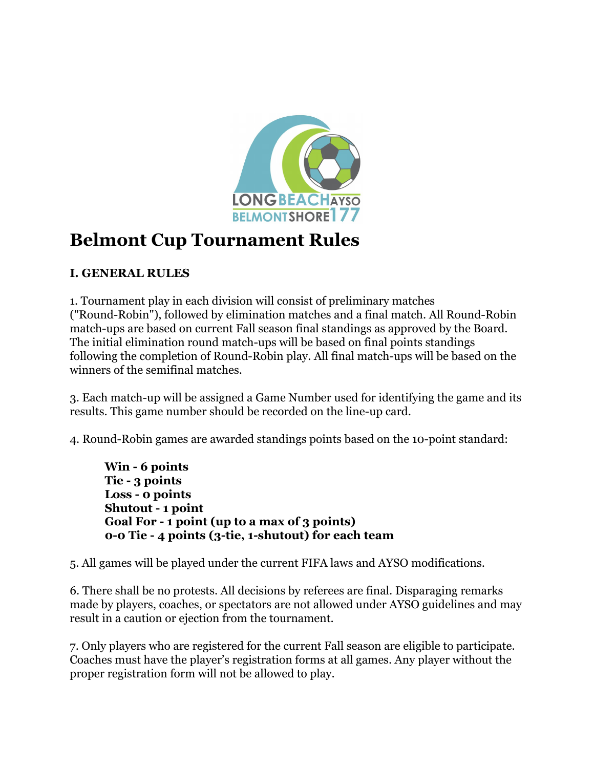

# **Belmont Cup Tournament Rules**

# **I. GENERAL RULES**

1. Tournament play in each division will consist of preliminary matches ("Round-Robin"), followed by elimination matches and a final match. All Round-Robin match-ups are based on current Fall season final standings as approved by the Board. The initial elimination round match-ups will be based on final points standings following the completion of Round-Robin play. All final match-ups will be based on the winners of the semifinal matches.

3. Each match-up will be assigned a Game Number used for identifying the game and its results. This game number should be recorded on the line-up card.

4. Round-Robin games are awarded standings points based on the 10-point standard:

**Win 6 points Tie 3 points Loss 0 points Shutout 1 point Goal For 1 point (up to a max of 3 points) 00 Tie 4 points (3tie, 1shutout) for each team**

5. All games will be played under the current FIFA laws and AYSO modifications.

6. There shall be no protests. All decisions by referees are final. Disparaging remarks made by players, coaches, or spectators are not allowed under AYSO guidelines and may result in a caution or ejection from the tournament.

7. Only players who are registered for the current Fall season are eligible to participate. Coaches must have the player's registration forms at all games. Any player without the proper registration form will not be allowed to play.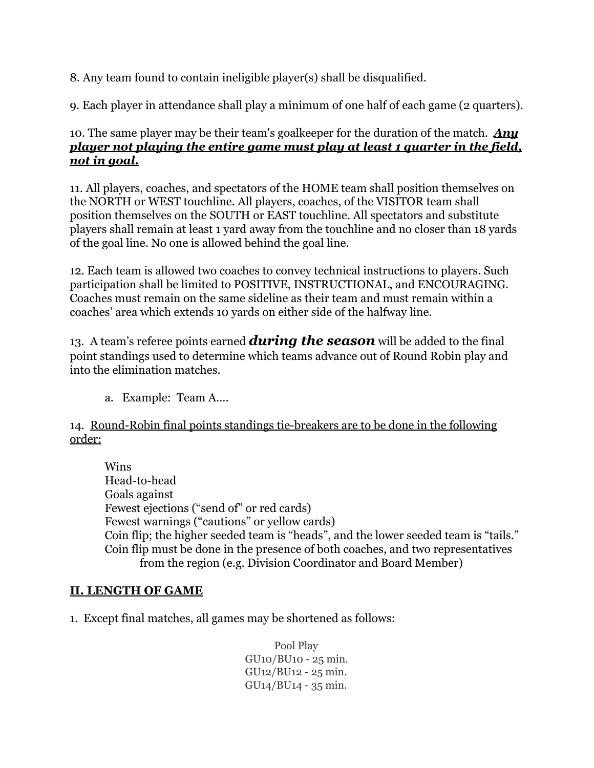8. Any team found to contain ineligible player(s) shall be disqualified.

9. Each player in attendance shall play a minimum of one half of each game (2 quarters).

#### 10. The same player may be their team's goalkeeper for the duration of the match. *Any player not playing the entire game must play at least 1 quarter in the field, not in goal.*

11. All players, coaches, and spectators of the HOME team shall position themselves on the NORTH or WEST touchline. All players, coaches, of the VISITOR team shall position themselves on the SOUTH or EAST touchline. All spectators and substitute players shall remain at least 1 yard away from the touchline and no closer than 18 yards of the goal line. No one is allowed behind the goal line.

12. Each team is allowed two coaches to convey technical instructions to players. Such participation shall be limited to POSITIVE, INSTRUCTIONAL, and ENCOURAGING. Coaches must remain on the same sideline as their team and must remain within a coaches' area which extends 10 yards on either side of the halfway line.

13. A team's referee points earned *during the season*will be added to the final point standings used to determine which teams advance out of Round Robin play and into the elimination matches.

a. Example: Team A….

14. Round-Robin final points standings tie-breakers are to be done in the following order:

Wins Head-to-head Goals against Fewest ejections ("send of" or red cards) Fewest warnings ("cautions" or yellow cards) Coin flip; the higher seeded team is "heads", and the lower seeded team is "tails." Coin flip must be done in the presence of both coaches, and two representatives from the region (e.g. Division Coordinator and Board Member)

#### **II. LENGTH OF GAME**

1. Except final matches, all games may be shortened as follows:

Pool Play GU10/BU10 25 min. GU12/BU12 - 25 min.  $GU<sub>14</sub>/BU<sub>14</sub> - 35 min.$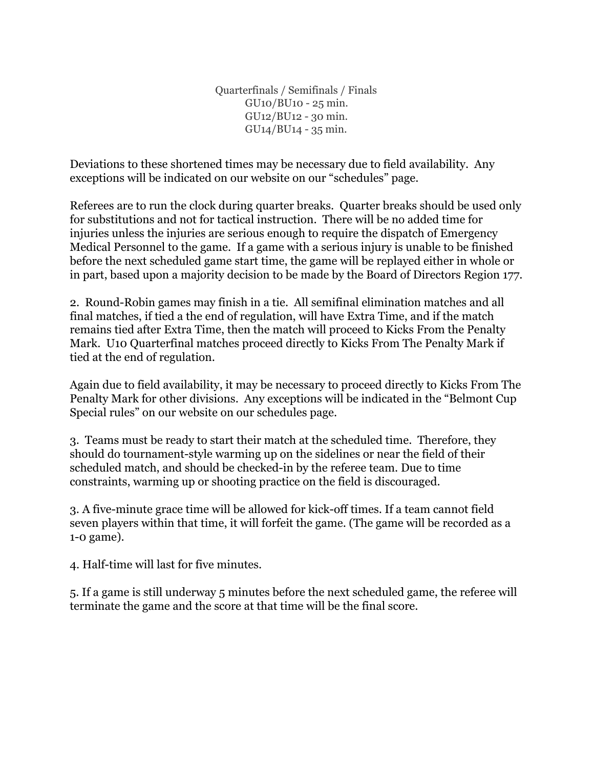Quarterfinals / Semifinals / Finals  $GU10/BU10 - 25$  min. GU12/BU12 - 30 min.  $GU<sub>14</sub>/BU<sub>14</sub> - 35 min.$ 

Deviations to these shortened times may be necessary due to field availability. Any exceptions will be indicated on our website on our "schedules" page.

Referees are to run the clock during quarter breaks. Quarter breaks should be used only for substitutions and not for tactical instruction. There will be no added time for injuries unless the injuries are serious enough to require the dispatch of Emergency Medical Personnel to the game. If a game with a serious injury is unable to be finished before the next scheduled game start time, the game will be replayed either in whole or in part, based upon a majority decision to be made by the Board of Directors Region 177.

2. Round-Robin games may finish in a tie. All semifinal elimination matches and all final matches, if tied a the end of regulation, will have Extra Time, and if the match remains tied after Extra Time, then the match will proceed to Kicks From the Penalty Mark. U10 Quarterfinal matches proceed directly to Kicks From The Penalty Mark if tied at the end of regulation.

Again due to field availability, it may be necessary to proceed directly to Kicks From The Penalty Mark for other divisions. Any exceptions will be indicated in the "Belmont Cup Special rules" on our website on our schedules page.

3. Teams must be ready to start their match at the scheduled time. Therefore, they should do tournament-style warming up on the sidelines or near the field of their scheduled match, and should be checked-in by the referee team. Due to time constraints, warming up or shooting practice on the field is discouraged.

3. A five-minute grace time will be allowed for kick-off times. If a team cannot field seven players within that time, it will forfeit the game. (The game will be recorded as a  $1-0$  game).

4. Half-time will last for five minutes.

5. If a game is still underway 5 minutes before the next scheduled game, the referee will terminate the game and the score at that time will be the final score.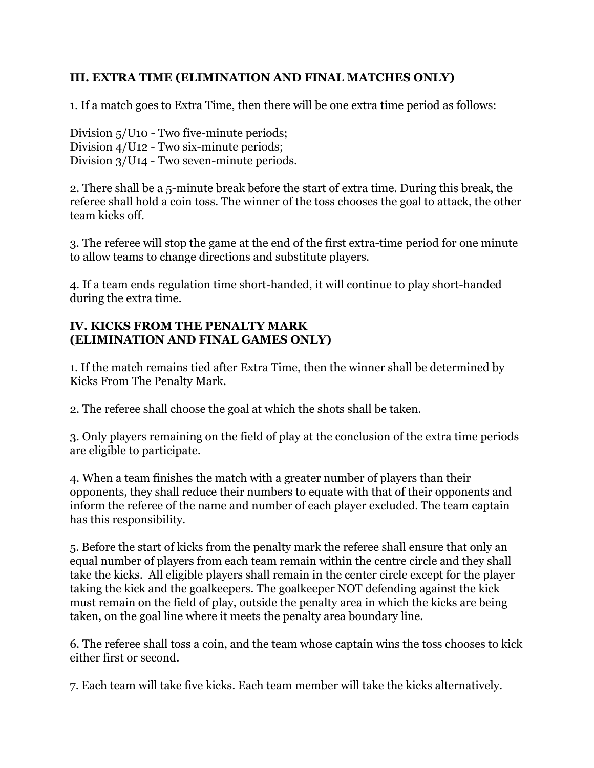## **III. EXTRA TIME (ELIMINATION AND FINAL MATCHES ONLY)**

1. If a match goes to Extra Time, then there will be one extra time period as follows:

Division  $5/U10$  - Two five-minute periods; Division  $4$ /U12 - Two six-minute periods; Division  $3/U14$  - Two seven-minute periods.

2. There shall be a 5-minute break before the start of extra time. During this break, the referee shall hold a coin toss. The winner of the toss chooses the goal to attack, the other team kicks off.

3. The referee will stop the game at the end of the first extra-time period for one minute to allow teams to change directions and substitute players.

4. If a team ends regulation time short-handed, it will continue to play short-handed during the extra time.

#### **IV. KICKS FROM THE PENALTY MARK (ELIMINATION AND FINAL GAMES ONLY)**

1. If the match remains tied after Extra Time, then the winner shall be determined by Kicks From The Penalty Mark.

2. The referee shall choose the goal at which the shots shall be taken.

3. Only players remaining on the field of play at the conclusion of the extra time periods are eligible to participate.

4. When a team finishes the match with a greater number of players than their opponents, they shall reduce their numbers to equate with that of their opponents and inform the referee of the name and number of each player excluded. The team captain has this responsibility.

5. Before the start of kicks from the penalty mark the referee shall ensure that only an equal number of players from each team remain within the centre circle and they shall take the kicks. All eligible players shall remain in the center circle except for the player taking the kick and the goalkeepers. The goalkeeper NOT defending against the kick must remain on the field of play, outside the penalty area in which the kicks are being taken, on the goal line where it meets the penalty area boundary line.

6. The referee shall toss a coin, and the team whose captain wins the toss chooses to kick either first or second.

7. Each team will take five kicks. Each team member will take the kicks alternatively.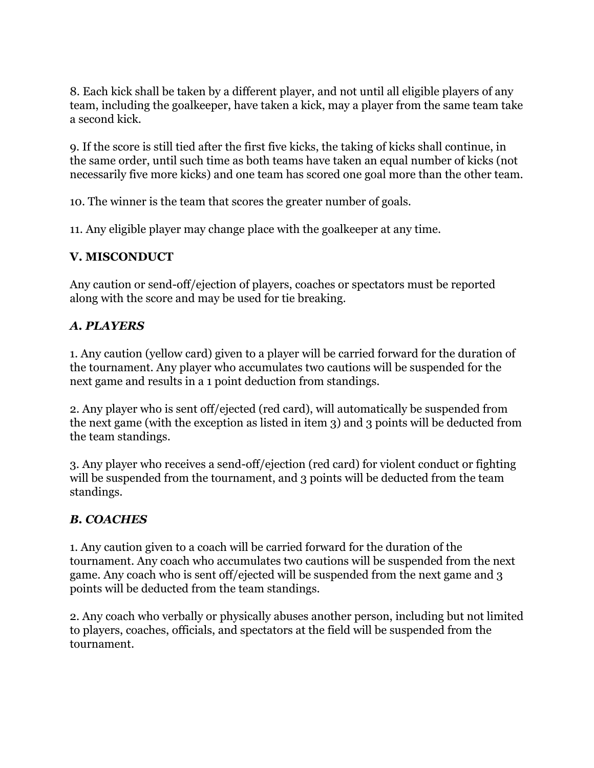8. Each kick shall be taken by a different player, and not until all eligible players of any team, including the goalkeeper, have taken a kick, may a player from the same team take a second kick.

9. If the score is still tied after the first five kicks, the taking of kicks shall continue, in the same order, until such time as both teams have taken an equal number of kicks (not necessarily five more kicks) and one team has scored one goal more than the other team.

10. The winner is the team that scores the greater number of goals.

11. Any eligible player may change place with the goalkeeper at any time.

## **V. MISCONDUCT**

Any caution or send-off/ejection of players, coaches or spectators must be reported along with the score and may be used for tie breaking.

# *A. PLAYERS*

1. Any caution (yellow card) given to a player will be carried forward for the duration of the tournament. Any player who accumulates two cautions will be suspended for the next game and results in a 1 point deduction from standings.

2. Any player who is sent off/ejected (red card), will automatically be suspended from the next game (with the exception as listed in item 3) and 3 points will be deducted from the team standings.

3. Any player who receives a send-off/ejection (red card) for violent conduct or fighting will be suspended from the tournament, and 3 points will be deducted from the team standings.

# *B. COACHES*

1. Any caution given to a coach will be carried forward for the duration of the tournament. Any coach who accumulates two cautions will be suspended from the next game. Any coach who is sent off/ejected will be suspended from the next game and 3 points will be deducted from the team standings.

2. Any coach who verbally or physically abuses another person, including but not limited to players, coaches, officials, and spectators at the field will be suspended from the tournament.